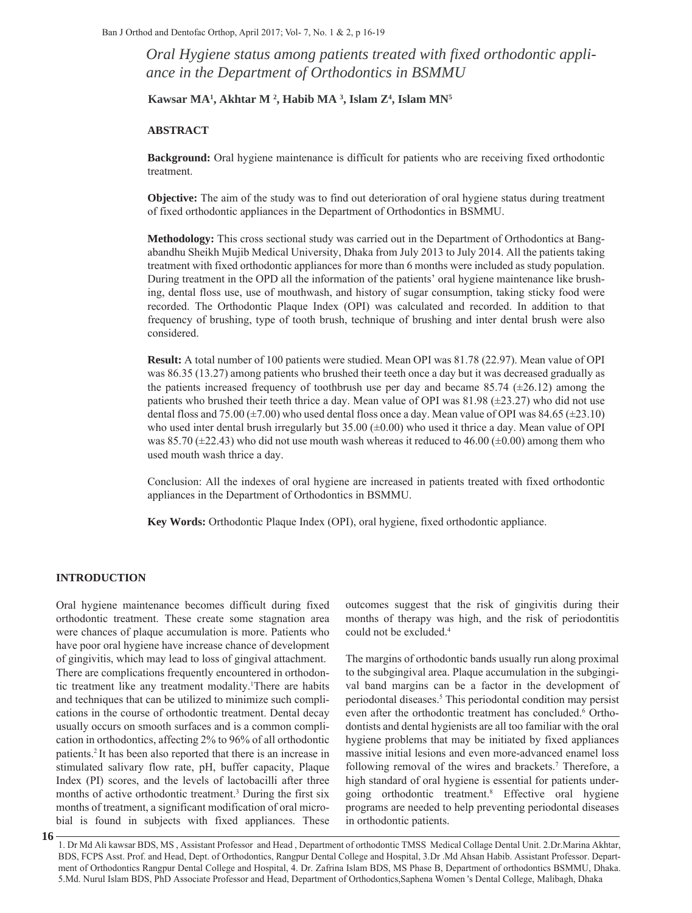*Oral Hygiene status among patients treated with fixed orthodontic appliance in the Department of Orthodontics in BSMMU*

**Kawsar MA1 , Akhtar M 2 , Habib MA 3 , Islam Z4 , Islam MN5** 

## **ABSTRACT**

**Background:** Oral hygiene maintenance is difficult for patients who are receiving fixed orthodontic treatment.

**Objective:** The aim of the study was to find out deterioration of oral hygiene status during treatment of fixed orthodontic appliances in the Department of Orthodontics in BSMMU.

**Methodology:** This cross sectional study was carried out in the Department of Orthodontics at Bangabandhu Sheikh Mujib Medical University, Dhaka from July 2013 to July 2014. All the patients taking treatment with fixed orthodontic appliances for more than 6 months were included as study population. During treatment in the OPD all the information of the patients' oral hygiene maintenance like brushing, dental floss use, use of mouthwash, and history of sugar consumption, taking sticky food were recorded. The Orthodontic Plaque Index (OPI) was calculated and recorded. In addition to that frequency of brushing, type of tooth brush, technique of brushing and inter dental brush were also considered.

**Result:** A total number of 100 patients were studied. Mean OPI was 81.78 (22.97). Mean value of OPI was 86.35 (13.27) among patients who brushed their teeth once a day but it was decreased gradually as the patients increased frequency of toothbrush use per day and became 85.74 ( $\pm$ 26.12) among the patients who brushed their teeth thrice a day. Mean value of OPI was  $81.98 \ (\pm 23.27)$  who did not use dental floss and 75.00 ( $\pm$ 7.00) who used dental floss once a day. Mean value of OPI was 84.65 ( $\pm$ 23.10) who used inter dental brush irregularly but  $35.00 \left( \pm 0.00 \right)$  who used it thrice a day. Mean value of OPI was 85.70 ( $\pm$ 22.43) who did not use mouth wash whereas it reduced to 46.00 ( $\pm$ 0.00) among them who used mouth wash thrice a day.

Conclusion: All the indexes of oral hygiene are increased in patients treated with fixed orthodontic appliances in the Department of Orthodontics in BSMMU.

**Key Words:** Orthodontic Plaque Index (OPI), oral hygiene, fixed orthodontic appliance.

### **INTRODUCTION**

**16**

Oral hygiene maintenance becomes difficult during fixed orthodontic treatment. These create some stagnation area were chances of plaque accumulation is more. Patients who have poor oral hygiene have increase chance of development of gingivitis, which may lead to loss of gingival attachment. There are complications frequently encountered in orthodontic treatment like any treatment modality.1 There are habits and techniques that can be utilized to minimize such complications in the course of orthodontic treatment. Dental decay usually occurs on smooth surfaces and is a common complication in orthodontics, affecting 2% to 96% of all orthodontic patients.2 It has been also reported that there is an increase in stimulated salivary flow rate, pH, buffer capacity, Plaque Index (PI) scores, and the levels of lactobacilli after three months of active orthodontic treatment.3 During the first six months of treatment, a significant modification of oral microbial is found in subjects with fixed appliances. These

outcomes suggest that the risk of gingivitis during their months of therapy was high, and the risk of periodontitis could not be excluded.4

The margins of orthodontic bands usually run along proximal to the subgingival area. Plaque accumulation in the subgingival band margins can be a factor in the development of periodontal diseases.<sup>5</sup> This periodontal condition may persist even after the orthodontic treatment has concluded.<sup>6</sup> Orthodontists and dental hygienists are all too familiar with the oral hygiene problems that may be initiated by fixed appliances massive initial lesions and even more-advanced enamel loss following removal of the wires and brackets.<sup>7</sup> Therefore, a high standard of oral hygiene is essential for patients undergoing orthodontic treatment.8 Effective oral hygiene programs are needed to help preventing periodontal diseases in orthodontic patients.

1. Dr Md Ali kawsar BDS, MS , Assistant Professor and Head , Department of orthodontic TMSS Medical Collage Dental Unit. 2.Dr.Marina Akhtar, BDS, FCPS Asst. Prof. and Head, Dept. of Orthodontics, Rangpur Dental College and Hospital, 3.Dr .Md Ahsan Habib. Assistant Professor. Department of Orthodontics Rangpur Dental College and Hospital, 4. Dr. Zafrina Islam BDS, MS Phase B, Department of orthodontics BSMMU, Dhaka. 5.Md. Nurul Islam BDS, PhD Associate Professor and Head, Department of Orthodontics,Saphena Women 's Dental College, Malibagh, Dhaka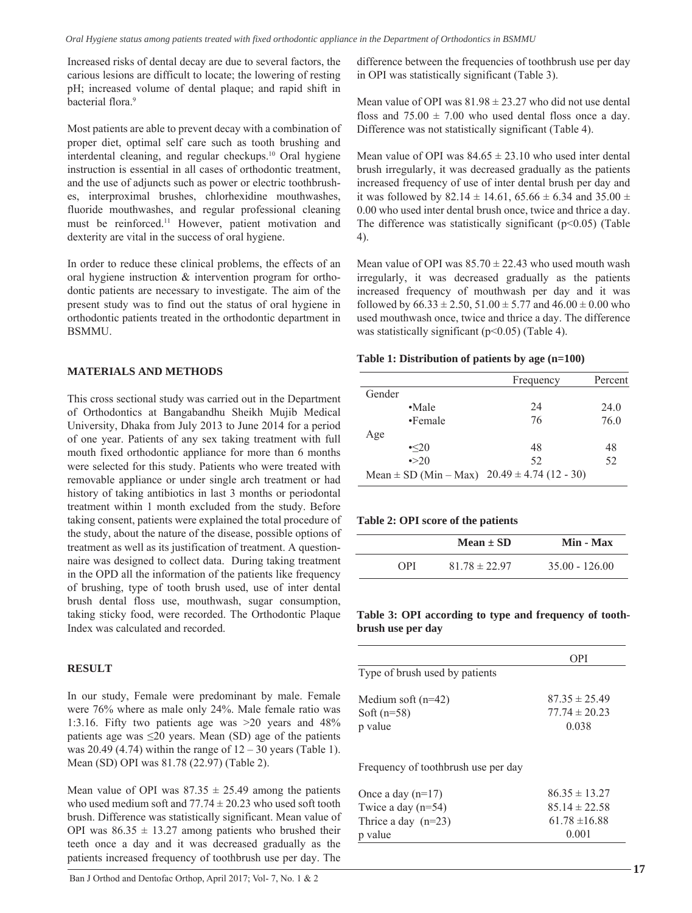Increased risks of dental decay are due to several factors, the carious lesions are difficult to locate; the lowering of resting pH; increased volume of dental plaque; and rapid shift in bacterial flora<sup>9</sup>

Most patients are able to prevent decay with a combination of proper diet, optimal self care such as tooth brushing and interdental cleaning, and regular checkups.<sup>10</sup> Oral hygiene instruction is essential in all cases of orthodontic treatment, and the use of adjuncts such as power or electric toothbrushes, interproximal brushes, chlorhexidine mouthwashes, fluoride mouthwashes, and regular professional cleaning must be reinforced.<sup>11</sup> However, patient motivation and dexterity are vital in the success of oral hygiene.

In order to reduce these clinical problems, the effects of an oral hygiene instruction & intervention program for orthodontic patients are necessary to investigate. The aim of the present study was to find out the status of oral hygiene in orthodontic patients treated in the orthodontic department in BSMMU.

# **MATERIALS AND METHODS**

This cross sectional study was carried out in the Department of Orthodontics at Bangabandhu Sheikh Mujib Medical University, Dhaka from July 2013 to June 2014 for a period of one year. Patients of any sex taking treatment with full mouth fixed orthodontic appliance for more than 6 months were selected for this study. Patients who were treated with removable appliance or under single arch treatment or had history of taking antibiotics in last 3 months or periodontal treatment within 1 month excluded from the study. Before taking consent, patients were explained the total procedure of the study, about the nature of the disease, possible options of treatment as well as its justification of treatment. A questionnaire was designed to collect data. During taking treatment in the OPD all the information of the patients like frequency of brushing, type of tooth brush used, use of inter dental brush dental floss use, mouthwash, sugar consumption, taking sticky food, were recorded. The Orthodontic Plaque Index was calculated and recorded.

# **RESULT**

In our study, Female were predominant by male. Female were 76% where as male only 24%. Male female ratio was 1:3.16. Fifty two patients age was >20 years and 48% patients age was  $\leq 20$  years. Mean (SD) age of the patients was  $20.49$  (4.74) within the range of  $12 - 30$  years (Table 1). Mean (SD) OPI was 81.78 (22.97) (Table 2).

Mean value of OPI was  $87.35 \pm 25.49$  among the patients who used medium soft and  $77.74 \pm 20.23$  who used soft tooth brush. Difference was statistically significant. Mean value of OPI was  $86.35 \pm 13.27$  among patients who brushed their teeth once a day and it was decreased gradually as the patients increased frequency of toothbrush use per day. The

difference between the frequencies of toothbrush use per day in OPI was statistically significant (Table 3).

Mean value of OPI was  $81.98 \pm 23.27$  who did not use dental floss and  $75.00 \pm 7.00$  who used dental floss once a day. Difference was not statistically significant (Table 4).

Mean value of OPI was  $84.65 \pm 23.10$  who used inter dental brush irregularly, it was decreased gradually as the patients increased frequency of use of inter dental brush per day and it was followed by 82.14  $\pm$  14.61, 65.66  $\pm$  6.34 and 35.00  $\pm$ 0.00 who used inter dental brush once, twice and thrice a day. The difference was statistically significant  $(p<0.05)$  (Table 4).

Mean value of OPI was  $85.70 \pm 22.43$  who used mouth wash irregularly, it was decreased gradually as the patients increased frequency of mouthwash per day and it was followed by  $66.33 \pm 2.50$ ,  $51.00 \pm 5.77$  and  $46.00 \pm 0.00$  who used mouthwash once, twice and thrice a day. The difference was statistically significant  $(p<0.05)$  (Table 4).

#### **Table 1: Distribution of patients by age (n=100)**

|                           | Frequency                  | Percent |
|---------------------------|----------------------------|---------|
| Gender                    |                            |         |
| $\cdot$ Male              | 24                         | 24.0    |
| •Female                   | 76                         | 76.0    |
| Age                       |                            |         |
| $\cdot$ <20               | 48                         | 48      |
| $\rightarrow 20$          | 52                         | 52      |
| Mean $\pm$ SD (Min – Max) | $20.49 \pm 4.74$ (12 - 30) |         |

#### **Table 2: OPI score of the patients**

|            | Mean $\pm$ SD     | Min - Max        |
|------------|-------------------|------------------|
| <b>OPI</b> | $81.78 \pm 22.97$ | $35.00 - 126.00$ |

**Table 3: OPI according to type and frequency of toothbrush use per day**

|                                                  | OPI)                                            |
|--------------------------------------------------|-------------------------------------------------|
| Type of brush used by patients                   |                                                 |
| Medium soft $(n=42)$<br>Soft $(n=58)$<br>p value | $87.35 \pm 25.49$<br>$77.74 \pm 20.23$<br>0.038 |

Frequency of toothbrush use per day

| Once a day $(n=17)$   | $86.35 \pm 13.27$ |
|-----------------------|-------------------|
| Twice a day $(n=54)$  | $85.14 \pm 22.58$ |
| Thrice a day $(n=23)$ | $61.78 \pm 16.88$ |
| p value               | 0.001             |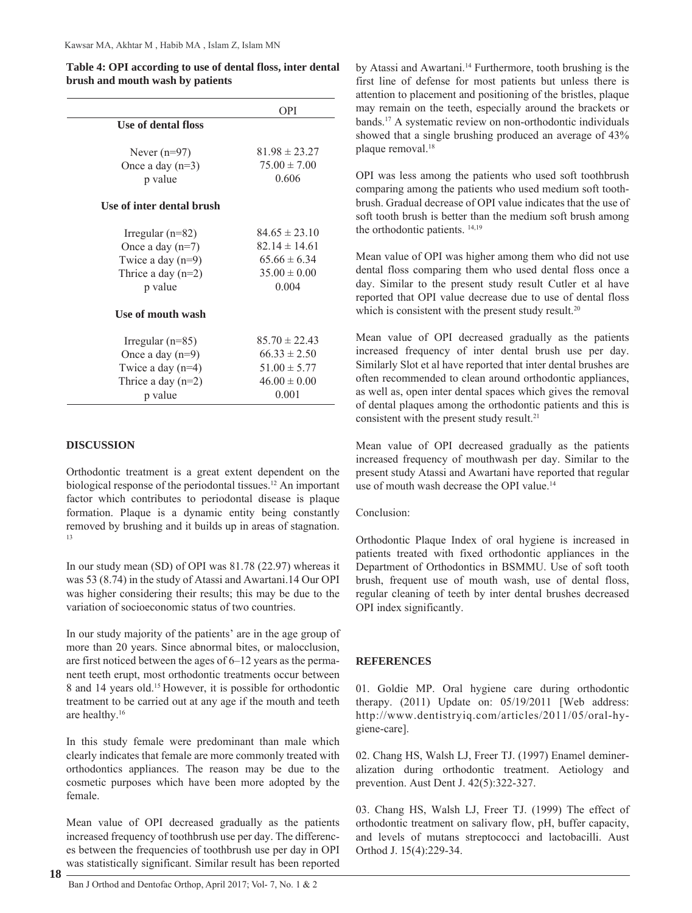|                           | <b>OPI</b>        |  |  |
|---------------------------|-------------------|--|--|
| Use of dental floss       |                   |  |  |
| Never $(n=97)$            | $81.98 \pm 23.27$ |  |  |
| Once a day $(n=3)$        | $75.00 \pm 7.00$  |  |  |
|                           | 0.606             |  |  |
| p value                   |                   |  |  |
| Use of inter dental brush |                   |  |  |
|                           |                   |  |  |
| Irregular $(n=82)$        | $84.65 \pm 23.10$ |  |  |
| Once a day $(n=7)$        | $82.14 \pm 14.61$ |  |  |
| Twice a day $(n=9)$       | $65.66 \pm 6.34$  |  |  |
| Thrice a day $(n=2)$      | $35.00 \pm 0.00$  |  |  |
| p value                   | 0.004             |  |  |
|                           |                   |  |  |
| Use of mouth wash         |                   |  |  |
|                           |                   |  |  |
| Irregular $(n=85)$        | $85.70 \pm 22.43$ |  |  |
| Once a day $(n=9)$        | $66.33 \pm 2.50$  |  |  |
| Twice a day $(n=4)$       | $51.00 \pm 5.77$  |  |  |
| Thrice a day $(n=2)$      | $46.00 \pm 0.00$  |  |  |
| p value                   | 0.001             |  |  |

**Table 4: OPI according to use of dental floss, inter dental brush and mouth wash by patients**

# **DISCUSSION**

Orthodontic treatment is a great extent dependent on the biological response of the periodontal tissues.12 An important factor which contributes to periodontal disease is plaque formation. Plaque is a dynamic entity being constantly removed by brushing and it builds up in areas of stagnation. 13

In our study mean (SD) of OPI was 81.78 (22.97) whereas it was 53 (8.74) in the study of Atassi and Awartani.14 Our OPI was higher considering their results; this may be due to the variation of socioeconomic status of two countries.

In our study majority of the patients' are in the age group of more than 20 years. Since abnormal bites, or malocclusion, are first noticed between the ages of 6–12 years as the permanent teeth erupt, most orthodontic treatments occur between 8 and 14 years old.15 However, it is possible for orthodontic treatment to be carried out at any age if the mouth and teeth are healthy.16

In this study female were predominant than male which clearly indicates that female are more commonly treated with orthodontics appliances. The reason may be due to the cosmetic purposes which have been more adopted by the female.

Mean value of OPI decreased gradually as the patients increased frequency of toothbrush use per day. The differences between the frequencies of toothbrush use per day in OPI was statistically significant. Similar result has been reported

**18**

Ban J Orthod and Dentofac Orthop, April 2017; Vol- 7, No. 1 & 2

by Atassi and Awartani.<sup>14</sup> Furthermore, tooth brushing is the first line of defense for most patients but unless there is attention to placement and positioning of the bristles, plaque may remain on the teeth, especially around the brackets or bands.17 A systematic review on non-orthodontic individuals showed that a single brushing produced an average of 43% plaque removal.18

OPI was less among the patients who used soft toothbrush comparing among the patients who used medium soft toothbrush. Gradual decrease of OPI value indicates that the use of soft tooth brush is better than the medium soft brush among the orthodontic patients. 14,19

Mean value of OPI was higher among them who did not use dental floss comparing them who used dental floss once a day. Similar to the present study result Cutler et al have reported that OPI value decrease due to use of dental floss which is consistent with the present study result.<sup>20</sup>

Mean value of OPI decreased gradually as the patients increased frequency of inter dental brush use per day. Similarly Slot et al have reported that inter dental brushes are often recommended to clean around orthodontic appliances, as well as, open inter dental spaces which gives the removal of dental plaques among the orthodontic patients and this is consistent with the present study result.<sup>21</sup>

Mean value of OPI decreased gradually as the patients increased frequency of mouthwash per day. Similar to the present study Atassi and Awartani have reported that regular use of mouth wash decrease the OPI value.14

## Conclusion:

Orthodontic Plaque Index of oral hygiene is increased in patients treated with fixed orthodontic appliances in the Department of Orthodontics in BSMMU. Use of soft tooth brush, frequent use of mouth wash, use of dental floss, regular cleaning of teeth by inter dental brushes decreased OPI index significantly.

# **REFERENCES**

01. Goldie MP. Oral hygiene care during orthodontic therapy. (2011) Update on: 05/19/2011 [Web address: http://www.dentistryiq.com/articles/2011/05/oral-hygiene-care].

02. Chang HS, Walsh LJ, Freer TJ. (1997) Enamel demineralization during orthodontic treatment. Aetiology and prevention. Aust Dent J. 42(5):322-327.

03. Chang HS, Walsh LJ, Freer TJ. (1999) The effect of orthodontic treatment on salivary flow, pH, buffer capacity, and levels of mutans streptococci and lactobacilli. Aust Orthod J. 15(4):229-34.